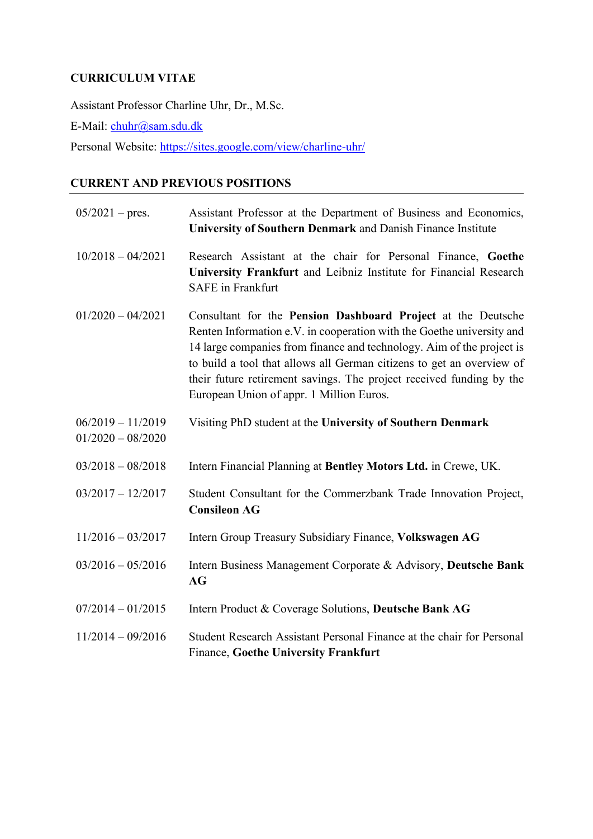## **CURRICULUM VITAE**

Assistant Professor Charline Uhr, Dr., M.Sc. E-Mail: [chuhr@](mailto:chuhr)sam.sdu.dk Personal Website:<https://sites.google.com/view/charline-uhr/>

# **CURRENT AND PREVIOUS POSITIONS**

| $05/2021$ – pres.                          | Assistant Professor at the Department of Business and Economics,<br>University of Southern Denmark and Danish Finance Institute                                                                                                                                                                                                                                                                             |
|--------------------------------------------|-------------------------------------------------------------------------------------------------------------------------------------------------------------------------------------------------------------------------------------------------------------------------------------------------------------------------------------------------------------------------------------------------------------|
| $10/2018 - 04/2021$                        | Research Assistant at the chair for Personal Finance, Goethe<br>University Frankfurt and Leibniz Institute for Financial Research<br><b>SAFE</b> in Frankfurt                                                                                                                                                                                                                                               |
| $01/2020 - 04/2021$                        | Consultant for the Pension Dashboard Project at the Deutsche<br>Renten Information e.V. in cooperation with the Goethe university and<br>14 large companies from finance and technology. Aim of the project is<br>to build a tool that allows all German citizens to get an overview of<br>their future retirement savings. The project received funding by the<br>European Union of appr. 1 Million Euros. |
| $06/2019 - 11/2019$<br>$01/2020 - 08/2020$ | Visiting PhD student at the University of Southern Denmark                                                                                                                                                                                                                                                                                                                                                  |
| $03/2018 - 08/2018$                        | Intern Financial Planning at Bentley Motors Ltd. in Crewe, UK.                                                                                                                                                                                                                                                                                                                                              |
| $03/2017 - 12/2017$                        | Student Consultant for the Commerzbank Trade Innovation Project,<br><b>Consileon AG</b>                                                                                                                                                                                                                                                                                                                     |
| $11/2016 - 03/2017$                        | Intern Group Treasury Subsidiary Finance, Volkswagen AG                                                                                                                                                                                                                                                                                                                                                     |
| $03/2016 - 05/2016$                        | Intern Business Management Corporate & Advisory, Deutsche Bank<br>AG                                                                                                                                                                                                                                                                                                                                        |
| $07/2014 - 01/2015$                        | Intern Product & Coverage Solutions, Deutsche Bank AG                                                                                                                                                                                                                                                                                                                                                       |
| $11/2014 - 09/2016$                        | Student Research Assistant Personal Finance at the chair for Personal<br><b>Finance, Goethe University Frankfurt</b>                                                                                                                                                                                                                                                                                        |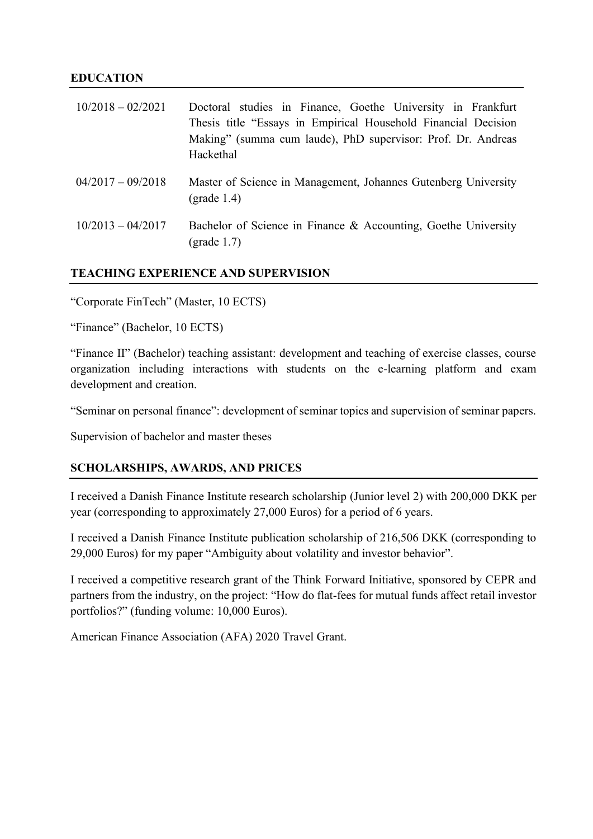#### **EDUCATION**

| $10/2018 - 02/2021$ | Doctoral studies in Finance, Goethe University in Frankfurt<br>Thesis title "Essays in Empirical Household Financial Decision<br>Making" (summa cum laude), PhD supervisor: Prof. Dr. Andreas<br>Hackethal |
|---------------------|------------------------------------------------------------------------------------------------------------------------------------------------------------------------------------------------------------|
| $04/2017 - 09/2018$ | Master of Science in Management, Johannes Gutenberg University<br>$(grade 1.4)$                                                                                                                            |
| $10/2013 - 04/2017$ | Bachelor of Science in Finance & Accounting, Goethe University<br>(grade $1.7$ )                                                                                                                           |

## **TEACHING EXPERIENCE AND SUPERVISION**

"Corporate FinTech" (Master, 10 ECTS)

"Finance" (Bachelor, 10 ECTS)

"Finance II" (Bachelor) teaching assistant: development and teaching of exercise classes, course organization including interactions with students on the e-learning platform and exam development and creation.

"Seminar on personal finance": development of seminar topics and supervision of seminar papers.

Supervision of bachelor and master theses

#### **SCHOLARSHIPS, AWARDS, AND PRICES**

I received a Danish Finance Institute research scholarship (Junior level 2) with 200,000 DKK per year (corresponding to approximately 27,000 Euros) for a period of 6 years.

I received a Danish Finance Institute publication scholarship of 216,506 DKK (corresponding to 29,000 Euros) for my paper "Ambiguity about volatility and investor behavior".

I received a competitive research grant of the Think Forward Initiative, sponsored by CEPR and partners from the industry, on the project: "How do flat-fees for mutual funds affect retail investor portfolios?" (funding volume: 10,000 Euros).

American Finance Association (AFA) 2020 Travel Grant.